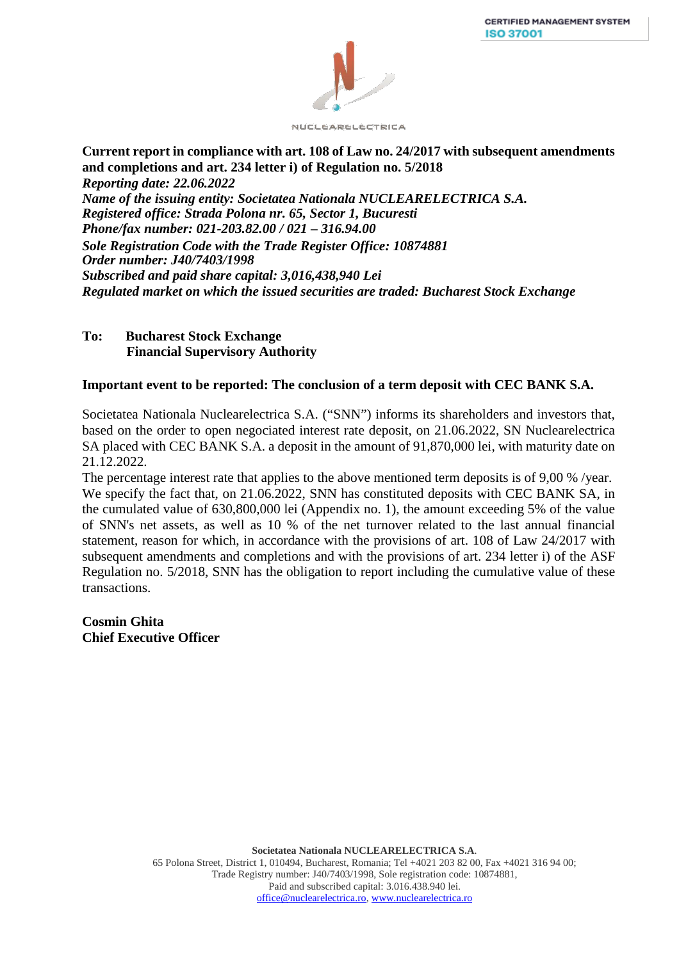

**Current report in compliance with art. 108 of Law no. 24/2017 with subsequent amendments and completions and art. 234 letter i) of Regulation no. 5/2018**  *Reporting date: 22.06.2022 Name of the issuing entity: Societatea Nationala NUCLEARELECTRICA S.A. Registered office: Strada Polona nr. 65, Sector 1, Bucuresti Phone/fax number: 021-203.82.00 / 021 – 316.94.00 Sole Registration Code with the Trade Register Office: 10874881 Order number: J40/7403/1998 Subscribed and paid share capital: 3,016,438,940 Lei Regulated market on which the issued securities are traded: Bucharest Stock Exchange*

## **To: Bucharest Stock Exchange Financial Supervisory Authority**

## **Important event to be reported: The conclusion of a term deposit with CEC BANK S.A.**

Societatea Nationala Nuclearelectrica S.A. ("SNN") informs its shareholders and investors that, based on the order to open negociated interest rate deposit, on 21.06.2022, SN Nuclearelectrica SA placed with CEC BANK S.A. a deposit in the amount of 91,870,000 lei, with maturity date on 21.12.2022.

The percentage interest rate that applies to the above mentioned term deposits is of 9,00 % /year. We specify the fact that, on 21.06.2022, SNN has constituted deposits with CEC BANK SA, in the cumulated value of 630,800,000 lei (Appendix no. 1), the amount exceeding 5% of the value of SNN's net assets, as well as 10 % of the net turnover related to the last annual financial statement, reason for which, in accordance with the provisions of art. 108 of Law 24/2017 with subsequent amendments and completions and with the provisions of art. 234 letter i) of the ASF Regulation no. 5/2018, SNN has the obligation to report including the cumulative value of these transactions.

**Cosmin Ghita Chief Executive Officer**